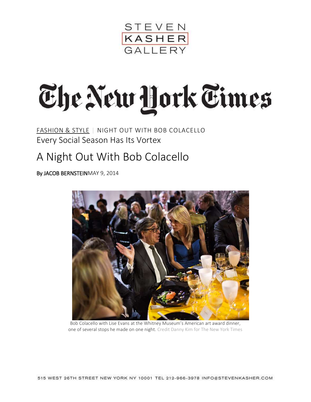

## The New York Times

[FASHION & STYLE](http://www.nytimes.com/pages/fashion/index.html) | NIGHT OUT WITH BOB COLACELLO Every Social Season Has Its Vortex

## A Night Out With Bob Colacello

By JACOB BERNSTEINMAY 9, 2014



Bob Colacello with Lise Evans at the Whitney Museum's American art award dinner, one of several stops he made on one night. Credit Danny Kim for The New York Times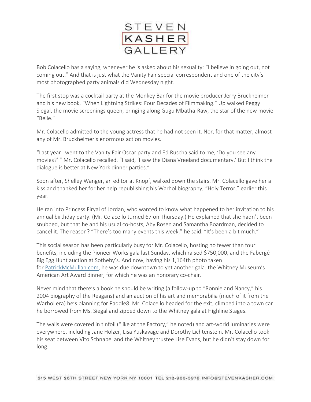

Bob Colacello has a saying, whenever he is asked about his sexuality: "I believe in going out, not coming out." And that is just what the Vanity Fair special correspondent and one of the city's most photographed party animals did Wednesday night.

The first stop was a cocktail party at the Monkey Bar for the movie producer Jerry Bruckheimer and his new book, "When Lightning Strikes: Four Decades of Filmmaking." Up walked Peggy Siegal, the movie screenings queen, bringing along Gugu Mbatha-Raw, the star of the new movie "Belle."

Mr. Colacello admitted to the young actress that he had not seen it. Nor, for that matter, almost any of Mr. Bruckheimer's enormous action movies.

"Last year I went to the Vanity Fair Oscar party and Ed Ruscha said to me, 'Do you see any movies?' " Mr. Colacello recalled. "I said, 'I saw the Diana Vreeland documentary.' But I think the dialogue is better at New York dinner parties."

Soon after, Shelley Wanger, an editor at Knopf, walked down the stairs. Mr. Colacello gave her a kiss and thanked her for her help republishing his Warhol biography, "Holy Terror," earlier this year.

He ran into Princess Firyal of Jordan, who wanted to know what happened to her invitation to his annual birthday party. (Mr. Colacello turned 67 on Thursday.) He explained that she hadn't been snubbed, but that he and his usual co-hosts, Aby Rosen and Samantha Boardman, decided to cancel it. The reason? "There's too many events this week," he said. "It's been a bit much."

This social season has been particularly busy for Mr. Colacello, hosting no fewer than four benefits, including the Pioneer Works gala last Sunday, which raised \$750,000, and the Fabergé Big Egg Hunt auction at Sotheby's. And now, having his 1,164th photo taken for [PatrickMcMullan.com](http://patrickmcmullan.com/), he was due downtown to yet another gala: the Whitney Museum's American Art Award dinner, for which he was an honorary co-chair.

Never mind that there's a book he should be writing (a follow-up to "Ronnie and Nancy," his 2004 biography of the Reagans) and an auction of his art and memorabilia (much of it from the Warhol era) he's planning for Paddle8. Mr. Colacello headed for the exit, climbed into a town car he borrowed from Ms. Siegal and zipped down to the Whitney gala at Highline Stages.

The walls were covered in tinfoil ("like at the Factory," he noted) and art-world luminaries were everywhere, including Jane Holzer, Lisa Yuskavage and Dorothy Lichtenstein. Mr. Colacello took his seat between Vito Schnabel and the Whitney trustee Lise Evans, but he didn't stay down for long.